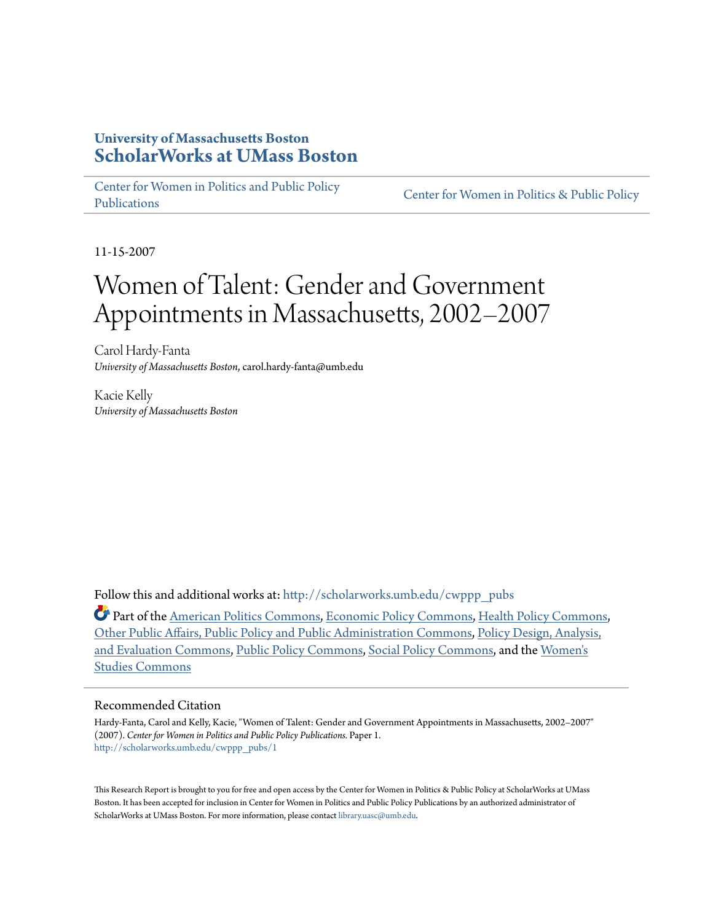### **University of Massachusetts Boston [ScholarWorks at UMass Boston](http://scholarworks.umb.edu?utm_source=scholarworks.umb.edu%2Fcwppp_pubs%2F1&utm_medium=PDF&utm_campaign=PDFCoverPages)**

[Center for Women in Politics and Public Policy](http://scholarworks.umb.edu/cwppp_pubs?utm_source=scholarworks.umb.edu%2Fcwppp_pubs%2F1&utm_medium=PDF&utm_campaign=PDFCoverPages) [Publications](http://scholarworks.umb.edu/cwppp_pubs?utm_source=scholarworks.umb.edu%2Fcwppp_pubs%2F1&utm_medium=PDF&utm_campaign=PDFCoverPages)

[Center for Women in Politics & Public Policy](http://scholarworks.umb.edu/wppp?utm_source=scholarworks.umb.edu%2Fcwppp_pubs%2F1&utm_medium=PDF&utm_campaign=PDFCoverPages)

11-15-2007

# Women of Talent: Gender and Government Appointments in Massachusetts, 2002–2007

Carol Hardy-Fanta *University of Massachusetts Boston*, carol.hardy-fanta@umb.edu

Kacie Kelly *University of Massachusetts Boston*

Follow this and additional works at: [http://scholarworks.umb.edu/cwppp\\_pubs](http://scholarworks.umb.edu/cwppp_pubs?utm_source=scholarworks.umb.edu%2Fcwppp_pubs%2F1&utm_medium=PDF&utm_campaign=PDFCoverPages)

Part of the [American Politics Commons](http://network.bepress.com/hgg/discipline/387?utm_source=scholarworks.umb.edu%2Fcwppp_pubs%2F1&utm_medium=PDF&utm_campaign=PDFCoverPages), [Economic Policy Commons](http://network.bepress.com/hgg/discipline/1025?utm_source=scholarworks.umb.edu%2Fcwppp_pubs%2F1&utm_medium=PDF&utm_campaign=PDFCoverPages), [Health Policy Commons,](http://network.bepress.com/hgg/discipline/395?utm_source=scholarworks.umb.edu%2Fcwppp_pubs%2F1&utm_medium=PDF&utm_campaign=PDFCoverPages) [Other Public Affairs, Public Policy and Public Administration Commons](http://network.bepress.com/hgg/discipline/403?utm_source=scholarworks.umb.edu%2Fcwppp_pubs%2F1&utm_medium=PDF&utm_campaign=PDFCoverPages), [Policy Design, Analysis,](http://network.bepress.com/hgg/discipline/1032?utm_source=scholarworks.umb.edu%2Fcwppp_pubs%2F1&utm_medium=PDF&utm_campaign=PDFCoverPages) [and Evaluation Commons](http://network.bepress.com/hgg/discipline/1032?utm_source=scholarworks.umb.edu%2Fcwppp_pubs%2F1&utm_medium=PDF&utm_campaign=PDFCoverPages), [Public Policy Commons,](http://network.bepress.com/hgg/discipline/400?utm_source=scholarworks.umb.edu%2Fcwppp_pubs%2F1&utm_medium=PDF&utm_campaign=PDFCoverPages) [Social Policy Commons,](http://network.bepress.com/hgg/discipline/1030?utm_source=scholarworks.umb.edu%2Fcwppp_pubs%2F1&utm_medium=PDF&utm_campaign=PDFCoverPages) and the [Women's](http://network.bepress.com/hgg/discipline/561?utm_source=scholarworks.umb.edu%2Fcwppp_pubs%2F1&utm_medium=PDF&utm_campaign=PDFCoverPages) [Studies Commons](http://network.bepress.com/hgg/discipline/561?utm_source=scholarworks.umb.edu%2Fcwppp_pubs%2F1&utm_medium=PDF&utm_campaign=PDFCoverPages)

#### Recommended Citation

Hardy-Fanta, Carol and Kelly, Kacie, "Women of Talent: Gender and Government Appointments in Massachusetts, 2002–2007" (2007). *Center for Women in Politics and Public Policy Publications.* Paper 1. [http://scholarworks.umb.edu/cwppp\\_pubs/1](http://scholarworks.umb.edu/cwppp_pubs/1?utm_source=scholarworks.umb.edu%2Fcwppp_pubs%2F1&utm_medium=PDF&utm_campaign=PDFCoverPages)

This Research Report is brought to you for free and open access by the Center for Women in Politics & Public Policy at ScholarWorks at UMass Boston. It has been accepted for inclusion in Center for Women in Politics and Public Policy Publications by an authorized administrator of ScholarWorks at UMass Boston. For more information, please contact [library.uasc@umb.edu](mailto:library.uasc@umb.edu).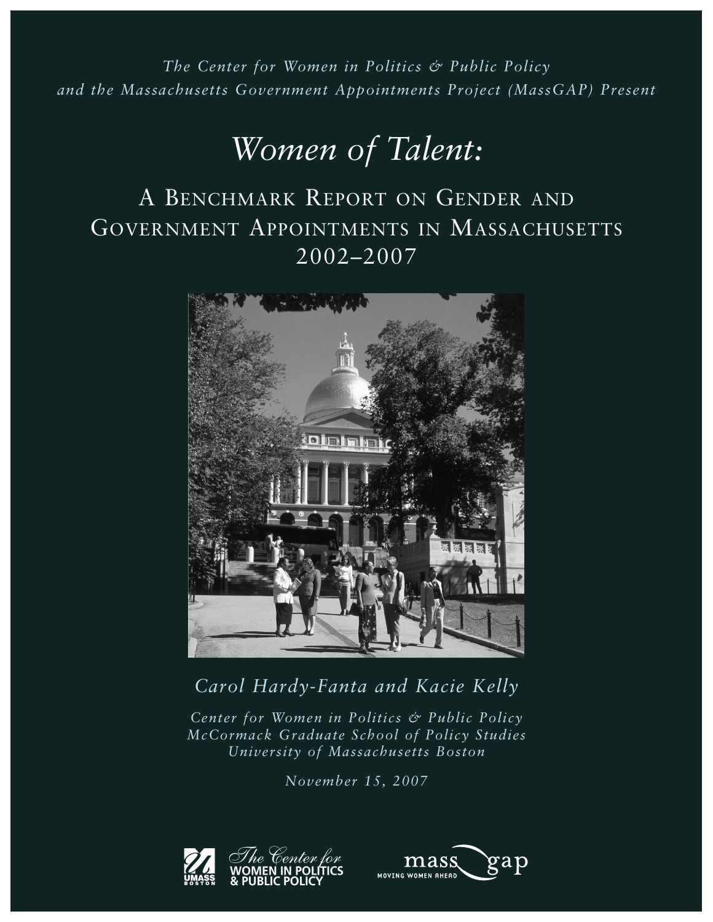*The Center for Women in Politics & Public Policy and the Massachusetts Government Appointments Project (MassGAP) Present*

# *Women of Talent:*

# A BENCHMARK REPORT ON GENDER AND GOVERNMENT APPOINTMENTS IN MASSACHUSETTS 2002–2007



## *Carol Hardy-Fanta and Kacie Kelly*

*Center for Women in Politics & Public Policy McCormack Graduate School of Policy Studies University of Massachusetts Boston*

*November 15, 2007* 



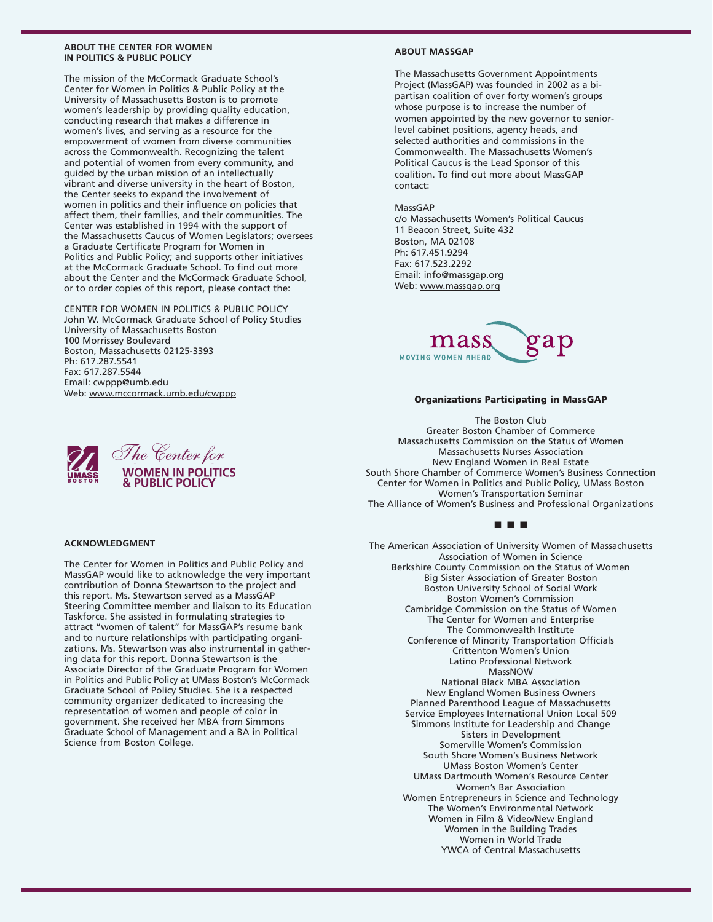#### **ABOUT THE CENTER FOR WOMEN IN POLITICS & PUBLIC POLICY**

The mission of the McCormack Graduate School's Center for Women in Politics & Public Policy at the University of Massachusetts Boston is to promote women's leadership by providing quality education, conducting research that makes a difference in women's lives, and serving as a resource for the empowerment of women from diverse communities across the Commonwealth. Recognizing the talent and potential of women from every community, and guided by the urban mission of an intellectually vibrant and diverse university in the heart of Boston, the Center seeks to expand the involvement of women in politics and their influence on policies that affect them, their families, and their communities. The Center was established in 1994 with the support of the Massachusetts Caucus of Women Legislators; oversees a Graduate Certificate Program for Women in Politics and Public Policy; and supports other initiatives at the McCormack Graduate School. To find out more about the Center and the McCormack Graduate School, or to order copies of this report, please contact the:

CENTER FOR WOMEN IN POLITICS & PUBLIC POLICY John W. McCormack Graduate School of Policy Studies University of Massachusetts Boston 100 Morrissey Boulevard Boston, Massachusetts 02125-3393 Ph: 617.287.5541 Fax: 617.287.5544 Email: cwppp@umb.edu Web: www.mccormack.umb.edu/cwppp

The Center for Women in Politics and Public Policy and MassGAP would like to acknowledge the very important contribution of Donna Stewartson to the project and this report. Ms. Stewartson served as a MassGAP Steering Committee member and liaison to its Education Taskforce. She assisted in formulating strategies to attract "women of talent" for MassGAP's resume bank and to nurture relationships with participating organizations. Ms. Stewartson was also instrumental in gathering data for this report. Donna Stewartson is the Associate Director of the Graduate Program for Women in Politics and Public Policy at UMass Boston's McCormack Graduate School of Policy Studies. She is a respected community organizer dedicated to increasing the representation of women and people of color in government. She received her MBA from Simmons Graduate School of Management and a BA in Political

#### The Center for **WOMEN IN POLITICS & PUBLIC POLICY**

**ACKNOWLEDGMENT**

Science from Boston College.

#### **ABOUT MASSGAP**

The Massachusetts Government Appointments Project (MassGAP) was founded in 2002 as a bipartisan coalition of over forty women's groups whose purpose is to increase the number of women appointed by the new governor to seniorlevel cabinet positions, agency heads, and selected authorities and commissions in the Commonwealth. The Massachusetts Women's Political Caucus is the Lead Sponsor of this coalition. To find out more about MassGAP contact:

#### MassGAP

c/o Massachusetts Women's Political Caucus 11 Beacon Street, Suite 432 Boston, MA 02108 Ph: 617.451.9294 Fax: 617.523.2292 Email: info@massgap.org Web: www.massgap.org



#### **Organizations Participating in MassGAP**

The Boston Club Greater Boston Chamber of Commerce Massachusetts Commission on the Status of Women Massachusetts Nurses Association New England Women in Real Estate South Shore Chamber of Commerce Women's Business Connection Center for Women in Politics and Public Policy, UMass Boston Women's Transportation Seminar The Alliance of Women's Business and Professional Organizations

#### ■ ■ ■

The American Association of University Women of Massachusetts Association of Women in Science Berkshire County Commission on the Status of Women Big Sister Association of Greater Boston Boston University School of Social Work Boston Women's Commission Cambridge Commission on the Status of Women The Center for Women and Enterprise The Commonwealth Institute Conference of Minority Transportation Officials Crittenton Women's Union Latino Professional Network MassNOW National Black MBA Association New England Women Business Owners Planned Parenthood League of Massachusetts Service Employees International Union Local 509

Simmons Institute for Leadership and Change Sisters in Development Somerville Women's Commission South Shore Women's Business Network UMass Boston Women's Center UMass Dartmouth Women's Resource Center Women's Bar Association Women Entrepreneurs in Science and Technology The Women's Environmental Network Women in Film & Video/New England Women in the Building Trades Women in World Trade YWCA of Central Massachusetts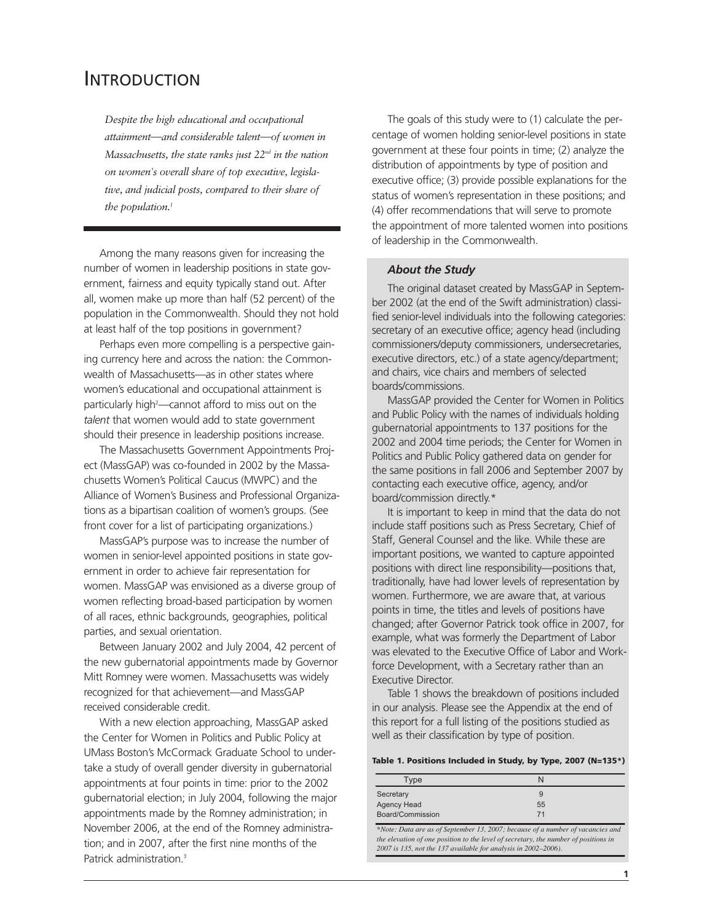## INTRODUCTION

*Despite the high educational and occupational attainment*—*and considerable talent*—*of women in Massachusetts, the state ranks just 22nd in the nation on women's overall share of top executive, legislative, and judicial posts, compared to their share of the population.1*

Among the many reasons given for increasing the number of women in leadership positions in state government, fairness and equity typically stand out. After all, women make up more than half (52 percent) of the population in the Commonwealth. Should they not hold at least half of the top positions in government?

Perhaps even more compelling is a perspective gaining currency here and across the nation: the Commonwealth of Massachusetts—as in other states where women's educational and occupational attainment is particularly high<sup>2</sup>—cannot afford to miss out on the *talent* that women would add to state government should their presence in leadership positions increase.

The Massachusetts Government Appointments Project (MassGAP) was co-founded in 2002 by the Massachusetts Women's Political Caucus (MWPC) and the Alliance of Women's Business and Professional Organizations as a bipartisan coalition of women's groups. (See front cover for a list of participating organizations.)

MassGAP's purpose was to increase the number of women in senior-level appointed positions in state government in order to achieve fair representation for women. MassGAP was envisioned as a diverse group of women reflecting broad-based participation by women of all races, ethnic backgrounds, geographies, political parties, and sexual orientation.

Between January 2002 and July 2004, 42 percent of the new gubernatorial appointments made by Governor Mitt Romney were women. Massachusetts was widely recognized for that achievement—and MassGAP received considerable credit.

With a new election approaching, MassGAP asked the Center for Women in Politics and Public Policy at UMass Boston's McCormack Graduate School to undertake a study of overall gender diversity in gubernatorial appointments at four points in time: prior to the 2002 gubernatorial election; in July 2004, following the major appointments made by the Romney administration; in November 2006, at the end of the Romney administration; and in 2007, after the first nine months of the Patrick administration.<sup>3</sup>

The goals of this study were to (1) calculate the percentage of women holding senior-level positions in state government at these four points in time; (2) analyze the distribution of appointments by type of position and executive office; (3) provide possible explanations for the status of women's representation in these positions; and (4) offer recommendations that will serve to promote the appointment of more talented women into positions of leadership in the Commonwealth.

#### *About the Study*

The original dataset created by MassGAP in September 2002 (at the end of the Swift administration) classified senior-level individuals into the following categories: secretary of an executive office; agency head (including commissioners/deputy commissioners, undersecretaries, executive directors, etc.) of a state agency/department; and chairs, vice chairs and members of selected boards/commissions.

MassGAP provided the Center for Women in Politics and Public Policy with the names of individuals holding gubernatorial appointments to 137 positions for the 2002 and 2004 time periods; the Center for Women in Politics and Public Policy gathered data on gender for the same positions in fall 2006 and September 2007 by contacting each executive office, agency, and/or board/commission directly.\*

It is important to keep in mind that the data do not include staff positions such as Press Secretary, Chief of Staff, General Counsel and the like. While these are important positions, we wanted to capture appointed positions with direct line responsibility—positions that, traditionally, have had lower levels of representation by women. Furthermore, we are aware that, at various points in time, the titles and levels of positions have changed; after Governor Patrick took office in 2007, for example, what was formerly the Department of Labor was elevated to the Executive Office of Labor and Workforce Development, with a Secretary rather than an Executive Director.

Table 1 shows the breakdown of positions included in our analysis. Please see the Appendix at the end of this report for a full listing of the positions studied as well as their classification by type of position.

#### **Table 1. Positions Included in Study, by Type, 2007 (N=135\*)**

| Type             |    |
|------------------|----|
| Secretary        | 9  |
| Agency Head      | 55 |
| Board/Commission | 71 |

*\*Note: Data are as of September 13, 2007; because of a number of vacancies and the elevation of one position to the level of secretary, the number of positions in 2007 is 135, not the 137 available for analysis in 2002–2006).*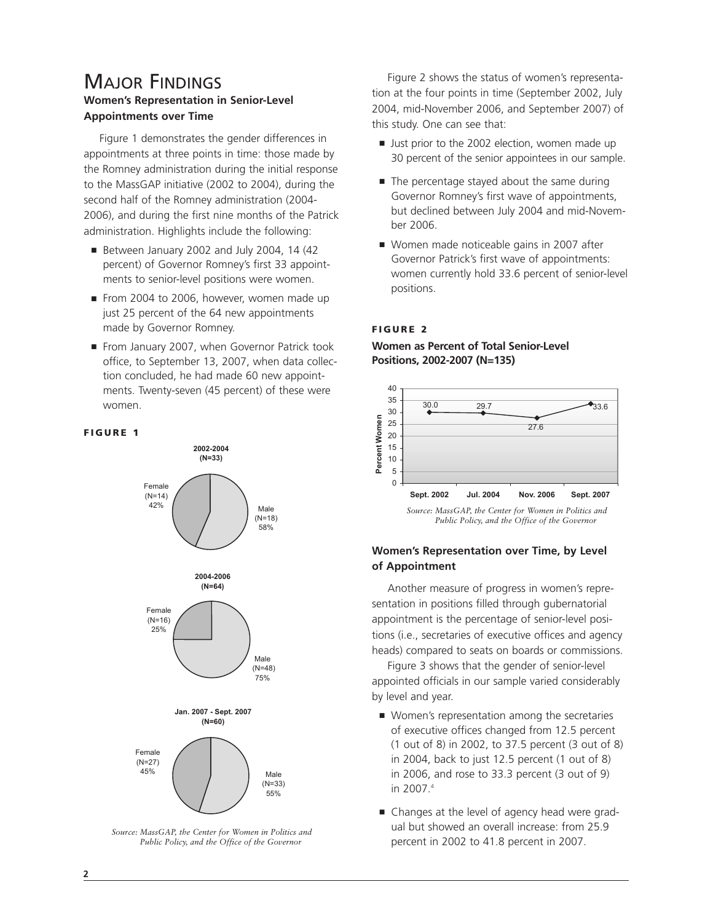### MAJOR FINDINGS **Women's Representation in Senior-Level Appointments over Time**

Figure 1 demonstrates the gender differences in appointments at three points in time: those made by the Romney administration during the initial response to the MassGAP initiative (2002 to 2004), during the second half of the Romney administration (2004- 2006), and during the first nine months of the Patrick administration. Highlights include the following:

- Between January 2002 and July 2004, 14 (42 percent) of Governor Romney's first 33 appointments to senior-level positions were women.
- From 2004 to 2006, however, women made up just 25 percent of the 64 new appointments made by Governor Romney.
- From January 2007, when Governor Patrick took office, to September 13, 2007, when data collection concluded, he had made 60 new appointments. Twenty-seven (45 percent) of these were women.

#### **FIGURE 1**



*Source: MassGAP, the Center for Women in Politics and Public Policy, and the Office of the Governor*

Figure 2 shows the status of women's representation at the four points in time (September 2002, July 2004, mid-November 2006, and September 2007) of this study. One can see that:

- Just prior to the 2002 election, women made up 30 percent of the senior appointees in our sample.
- The percentage stayed about the same during Governor Romney's first wave of appointments, but declined between July 2004 and mid-November 2006.
- Women made noticeable gains in 2007 after Governor Patrick's first wave of appointments: women currently hold 33.6 percent of senior-level positions.

#### **FIGURE 2**



#### **Women as Percent of Total Senior-Level Positions, 2002-2007 (N=135)**

*Source: MassGAP, the Center for Women in Politics and Public Policy, and the Office of the Governor*

#### **Women's Representation over Time, by Level of Appointment**

Another measure of progress in women's representation in positions filled through gubernatorial appointment is the percentage of senior-level positions (i.e., secretaries of executive offices and agency heads) compared to seats on boards or commissions.

Figure 3 shows that the gender of senior-level appointed officials in our sample varied considerably by level and year.

- Women's representation among the secretaries of executive offices changed from 12.5 percent (1 out of 8) in 2002, to 37.5 percent (3 out of 8) in 2004, back to just 12.5 percent (1 out of 8) in 2006, and rose to 33.3 percent (3 out of 9) in 2007.4
- Changes at the level of agency head were gradual but showed an overall increase: from 25.9 percent in 2002 to 41.8 percent in 2007.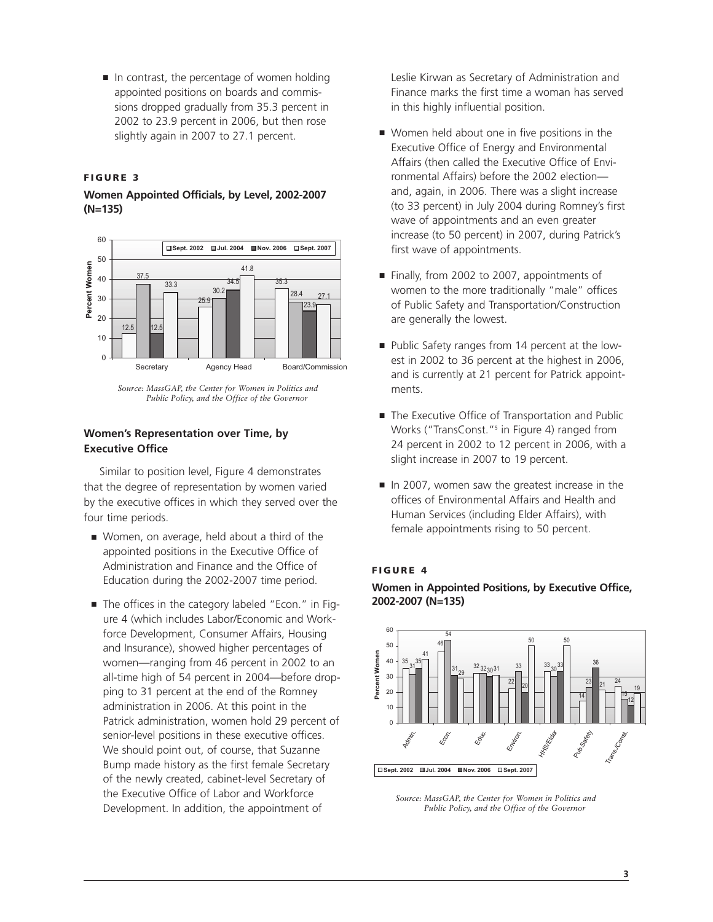■ In contrast, the percentage of women holding appointed positions on boards and commissions dropped gradually from 35.3 percent in 2002 to 23.9 percent in 2006, but then rose slightly again in 2007 to 27.1 percent.

#### **FIGURE 3**

#### **Women Appointed Officials, by Level, 2002-2007 (N=135)**



*Source: MassGAP, the Center for Women in Politics and Public Policy, and the Office of the Governor*

#### **Women's Representation over Time, by Executive Office**

Similar to position level, Figure 4 demonstrates that the degree of representation by women varied by the executive offices in which they served over the four time periods.

- Women, on average, held about a third of the appointed positions in the Executive Office of Administration and Finance and the Office of Education during the 2002-2007 time period.
- The offices in the category labeled "Econ." in Figure 4 (which includes Labor/Economic and Workforce Development, Consumer Affairs, Housing and Insurance), showed higher percentages of women—ranging from 46 percent in 2002 to an all-time high of 54 percent in 2004—before dropping to 31 percent at the end of the Romney administration in 2006. At this point in the Patrick administration, women hold 29 percent of senior-level positions in these executive offices. We should point out, of course, that Suzanne Bump made history as the first female Secretary of the newly created, cabinet-level Secretary of the Executive Office of Labor and Workforce Development. In addition, the appointment of

Leslie Kirwan as Secretary of Administration and Finance marks the first time a woman has served in this highly influential position.

- Women held about one in five positions in the Executive Office of Energy and Environmental Affairs (then called the Executive Office of Environmental Affairs) before the 2002 election and, again, in 2006. There was a slight increase (to 33 percent) in July 2004 during Romney's first wave of appointments and an even greater increase (to 50 percent) in 2007, during Patrick's first wave of appointments.
- Finally, from 2002 to 2007, appointments of women to the more traditionally "male" offices of Public Safety and Transportation/Construction are generally the lowest.
- Public Safety ranges from 14 percent at the lowest in 2002 to 36 percent at the highest in 2006, and is currently at 21 percent for Patrick appointments.
- The Executive Office of Transportation and Public Works ("TransConst."5 in Figure 4) ranged from 24 percent in 2002 to 12 percent in 2006, with a slight increase in 2007 to 19 percent.
- In 2007, women saw the greatest increase in the offices of Environmental Affairs and Health and Human Services (including Elder Affairs), with female appointments rising to 50 percent.

#### **FIGURE 4**

**Women in Appointed Positions, by Executive Office, 2002-2007 (N=135)**



*Source: MassGAP, the Center for Women in Politics and Public Policy, and the Office of the Governor*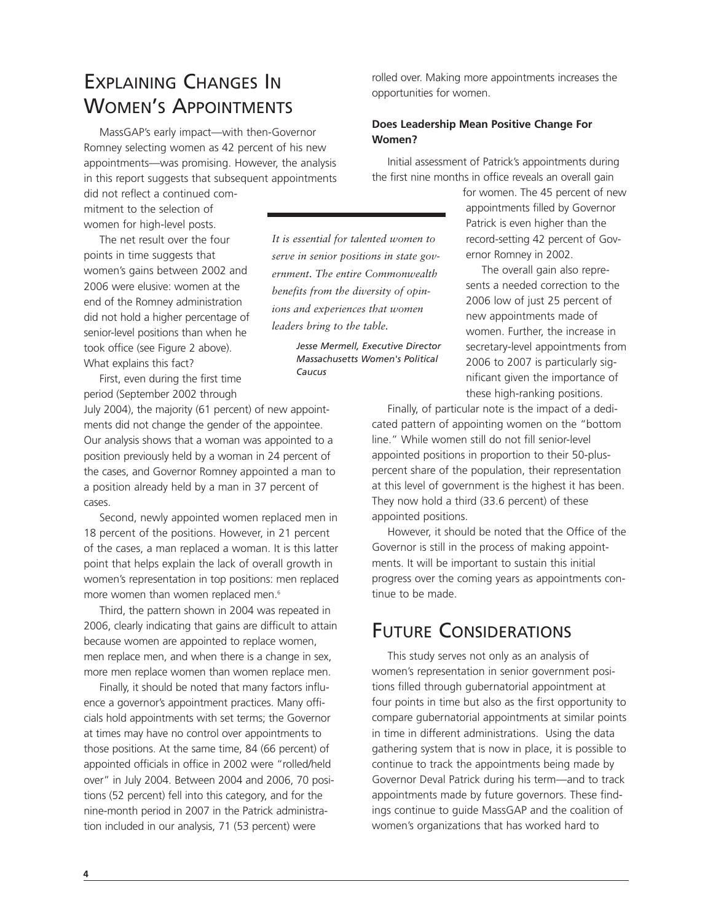## EXPLAINING CHANGES IN WOMEN'S APPOINTMENTS

MassGAP's early impact—with then-Governor Romney selecting women as 42 percent of his new appointments—was promising. However, the analysis in this report suggests that subsequent appointments

did not reflect a continued commitment to the selection of women for high-level posts.

The net result over the four points in time suggests that women's gains between 2002 and 2006 were elusive: women at the end of the Romney administration did not hold a higher percentage of senior-level positions than when he took office (see Figure 2 above). What explains this fact?

First, even during the first time period (September 2002 through

July 2004), the majority (61 percent) of new appointments did not change the gender of the appointee. Our analysis shows that a woman was appointed to a position previously held by a woman in 24 percent of the cases, and Governor Romney appointed a man to a position already held by a man in 37 percent of cases.

Second, newly appointed women replaced men in 18 percent of the positions. However, in 21 percent of the cases, a man replaced a woman. It is this latter point that helps explain the lack of overall growth in women's representation in top positions: men replaced more women than women replaced men.<sup>6</sup>

Third, the pattern shown in 2004 was repeated in 2006, clearly indicating that gains are difficult to attain because women are appointed to replace women, men replace men, and when there is a change in sex, more men replace women than women replace men.

Finally, it should be noted that many factors influence a governor's appointment practices. Many officials hold appointments with set terms; the Governor at times may have no control over appointments to those positions. At the same time, 84 (66 percent) of appointed officials in office in 2002 were "rolled/held over" in July 2004. Between 2004 and 2006, 70 positions (52 percent) fell into this category, and for the nine-month period in 2007 in the Patrick administration included in our analysis, 71 (53 percent) were

rolled over. Making more appointments increases the opportunities for women.

#### **Does Leadership Mean Positive Change For Women?**

*It is essential for talented women to serve in senior positions in state government. The entire Commonwealth benefits from the diversity of opinions and experiences that women*

> *Jesse Mermell, Executive Director Massachusetts Women's Political*

*leaders bring to the table.*

*Caucus*

Initial assessment of Patrick's appointments during the first nine months in office reveals an overall gain

> for women. The 45 percent of new appointments filled by Governor Patrick is even higher than the record-setting 42 percent of Governor Romney in 2002.

The overall gain also represents a needed correction to the 2006 low of just 25 percent of new appointments made of women. Further, the increase in secretary-level appointments from 2006 to 2007 is particularly significant given the importance of these high-ranking positions.

Finally, of particular note is the impact of a dedicated pattern of appointing women on the "bottom line." While women still do not fill senior-level appointed positions in proportion to their 50-pluspercent share of the population, their representation at this level of government is the highest it has been. They now hold a third (33.6 percent) of these appointed positions.

However, it should be noted that the Office of the Governor is still in the process of making appointments. It will be important to sustain this initial progress over the coming years as appointments continue to be made.

## FUTURE CONSIDERATIONS

This study serves not only as an analysis of women's representation in senior government positions filled through gubernatorial appointment at four points in time but also as the first opportunity to compare gubernatorial appointments at similar points in time in different administrations. Using the data gathering system that is now in place, it is possible to continue to track the appointments being made by Governor Deval Patrick during his term—and to track appointments made by future governors. These findings continue to guide MassGAP and the coalition of women's organizations that has worked hard to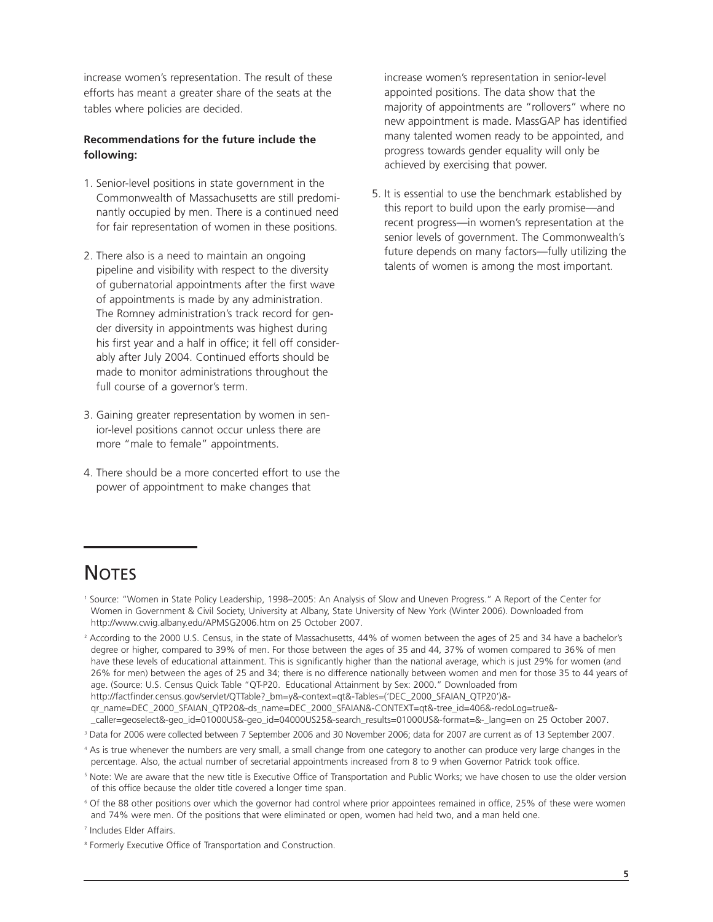increase women's representation. The result of these efforts has meant a greater share of the seats at the tables where policies are decided.

#### **Recommendations for the future include the following:**

- 1. Senior-level positions in state government in the Commonwealth of Massachusetts are still predominantly occupied by men. There is a continued need for fair representation of women in these positions.
- 2. There also is a need to maintain an ongoing pipeline and visibility with respect to the diversity of gubernatorial appointments after the first wave of appointments is made by any administration. The Romney administration's track record for gender diversity in appointments was highest during his first year and a half in office; it fell off considerably after July 2004. Continued efforts should be made to monitor administrations throughout the full course of a governor's term.
- 3. Gaining greater representation by women in senior-level positions cannot occur unless there are more "male to female" appointments.
- 4. There should be a more concerted effort to use the power of appointment to make changes that

increase women's representation in senior-level appointed positions. The data show that the majority of appointments are "rollovers" where no new appointment is made. MassGAP has identified many talented women ready to be appointed, and progress towards gender equality will only be achieved by exercising that power.

5. It is essential to use the benchmark established by this report to build upon the early promise—and recent progress—in women's representation at the senior levels of government. The Commonwealth's future depends on many factors—fully utilizing the talents of women is among the most important.

# **NOTES**

- <sup>1</sup> Source: "Women in State Policy Leadership, 1998–2005: An Analysis of Slow and Uneven Progress." A Report of the Center for Women in Government & Civil Society, University at Albany, State University of New York (Winter 2006). Downloaded from http://www.cwig.albany.edu/APMSG2006.htm on 25 October 2007.
- <sup>2</sup> According to the 2000 U.S. Census, in the state of Massachusetts, 44% of women between the ages of 25 and 34 have a bachelor's degree or higher, compared to 39% of men. For those between the ages of 35 and 44, 37% of women compared to 36% of men have these levels of educational attainment. This is significantly higher than the national average, which is just 29% for women (and 26% for men) between the ages of 25 and 34; there is no difference nationally between women and men for those 35 to 44 years of age. (Source: U.S. Census Quick Table "QT-P20. Educational Attainment by Sex: 2000." Downloaded from http://factfinder.census.gov/servlet/QTTable?\_bm=y&-context=qt&-Tables=('DEC\_2000\_SFAIAN\_QTP20')& qr\_name=DEC\_2000\_SFAIAN\_QTP20&-ds\_name=DEC\_2000\_SFAIAN&-CONTEXT=qt&-tree\_id=406&-redoLog=true&- \_caller=geoselect&-geo\_id=01000US&-geo\_id=04000US25&-search\_results=01000US&-format=&-\_lang=en on 25 October 2007.
- <sup>3</sup> Data for 2006 were collected between 7 September 2006 and 30 November 2006; data for 2007 are current as of 13 September 2007.
- <sup>4</sup> As is true whenever the numbers are very small, a small change from one category to another can produce very large changes in the percentage. Also, the actual number of secretarial appointments increased from 8 to 9 when Governor Patrick took office.
- <sup>5</sup> Note: We are aware that the new title is Executive Office of Transportation and Public Works; we have chosen to use the older version of this office because the older title covered a longer time span.
- <sup>6</sup> Of the 88 other positions over which the governor had control where prior appointees remained in office, 25% of these were women and 74% were men. Of the positions that were eliminated or open, women had held two, and a man held one.

<sup>7</sup> Includes Elder Affairs.

<sup>8</sup> Formerly Executive Office of Transportation and Construction.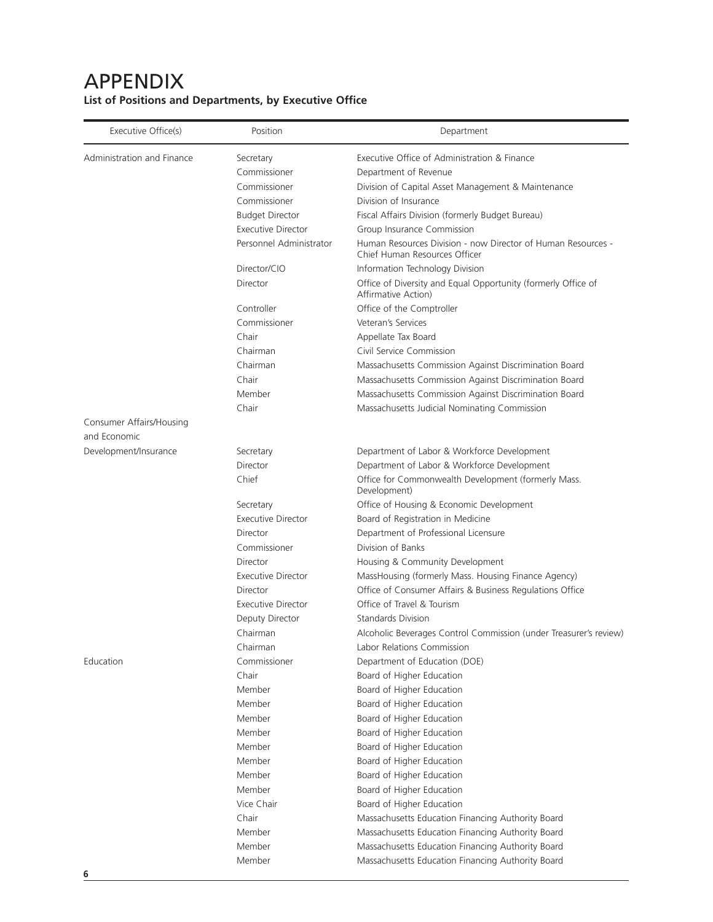#### Executive Office(s) **Position** Position **Department** Administration and Finance Secretary **Secretary** Executive Office of Administration & Finance Commissioner Department of Revenue Commissioner Division of Capital Asset Management & Maintenance Commissioner Division of Insurance Budget Director Fiscal Affairs Division (formerly Budget Bureau) Executive Director Group Insurance Commission Personnel Administrator Human Resources Division - now Director of Human Resources - Chief Human Resources Officer Director/CIO Information Technology Division Director **Office of Diversity and Equal Opportunity (formerly Office of** Affirmative Action) Controller **Controller** Office of the Comptroller Commissioner Veteran's Services Chair **Appellate Tax Board** Chairman Civil Service Commission Chairman Massachusetts Commission Against Discrimination Board Chair Massachusetts Commission Against Discrimination Board Member Massachusetts Commission Against Discrimination Board Chair Massachusetts Judicial Nominating Commission Consumer Affairs/Housing and Economic Development/Insurance Secretary Secretary Department of Labor & Workforce Development Director Department of Labor & Workforce Development Chief Chief Commonwealth Development (formerly Mass. Development) Secretary **Secretary** Office of Housing & Economic Development Executive Director **Board of Registration in Medicine** Director Department of Professional Licensure Commissioner Division of Banks Director Housing & Community Development Executive Director MassHousing (formerly Mass. Housing Finance Agency) Director **Director** Office of Consumer Affairs & Business Regulations Office Executive Director Office of Travel & Tourism Deputy Director Standards Division Chairman Alcoholic Beverages Control Commission (under Treasurer's review) Chairman Labor Relations Commission Education Commissioner Department of Education (DOE) Chair **Board of Higher Education** Member Board of Higher Education Member Board of Higher Education Member Board of Higher Education Member Board of Higher Education Member Board of Higher Education Member Board of Higher Education Member Board of Higher Education Member Board of Higher Education Vice Chair Board of Higher Education Chair Massachusetts Education Financing Authority Board Member Massachusetts Education Financing Authority Board Member Massachusetts Education Financing Authority Board

Member Massachusetts Education Financing Authority Board

### APPENDIX **List of Positions and Departments, by Executive Office**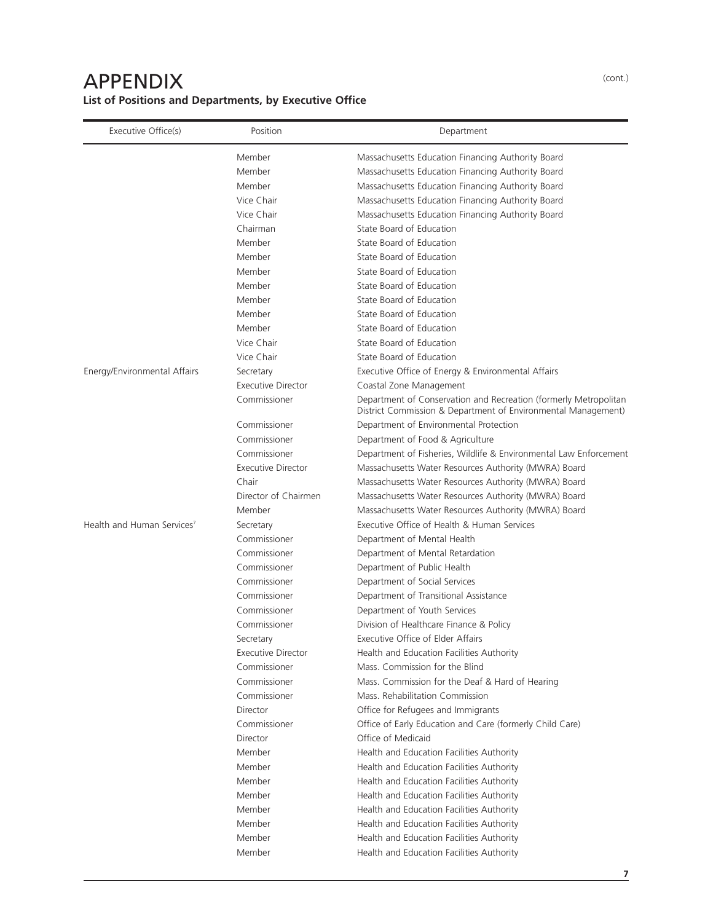## APPENDIX **List of Positions and Departments, by Executive Office**

| Executive Office(s)                    | Position                  | Department                                                                                                                        |
|----------------------------------------|---------------------------|-----------------------------------------------------------------------------------------------------------------------------------|
|                                        | Member                    | Massachusetts Education Financing Authority Board                                                                                 |
|                                        | Member                    | Massachusetts Education Financing Authority Board                                                                                 |
|                                        | Member                    | Massachusetts Education Financing Authority Board                                                                                 |
|                                        | Vice Chair                | Massachusetts Education Financing Authority Board                                                                                 |
|                                        | Vice Chair                | Massachusetts Education Financing Authority Board                                                                                 |
|                                        | Chairman                  | State Board of Education                                                                                                          |
|                                        | Member                    | State Board of Education                                                                                                          |
|                                        | Member                    | State Board of Education                                                                                                          |
|                                        | Member                    | State Board of Education                                                                                                          |
|                                        | Member                    | State Board of Education                                                                                                          |
|                                        | Member                    | State Board of Education                                                                                                          |
|                                        | Member                    | State Board of Education                                                                                                          |
|                                        | Member                    | State Board of Education                                                                                                          |
|                                        | Vice Chair                | State Board of Education                                                                                                          |
|                                        | Vice Chair                | State Board of Education                                                                                                          |
| Energy/Environmental Affairs           | Secretary                 | Executive Office of Energy & Environmental Affairs                                                                                |
|                                        | <b>Executive Director</b> | Coastal Zone Management                                                                                                           |
|                                        | Commissioner              | Department of Conservation and Recreation (formerly Metropolitan<br>District Commission & Department of Environmental Management) |
|                                        | Commissioner              | Department of Environmental Protection                                                                                            |
|                                        | Commissioner              | Department of Food & Agriculture                                                                                                  |
|                                        | Commissioner              | Department of Fisheries, Wildlife & Environmental Law Enforcement                                                                 |
|                                        | <b>Executive Director</b> | Massachusetts Water Resources Authority (MWRA) Board                                                                              |
|                                        | Chair                     | Massachusetts Water Resources Authority (MWRA) Board                                                                              |
|                                        | Director of Chairmen      | Massachusetts Water Resources Authority (MWRA) Board                                                                              |
|                                        | Member                    | Massachusetts Water Resources Authority (MWRA) Board                                                                              |
| Health and Human Services <sup>7</sup> | Secretary                 | Executive Office of Health & Human Services                                                                                       |
|                                        | Commissioner              | Department of Mental Health                                                                                                       |
|                                        | Commissioner              | Department of Mental Retardation                                                                                                  |
|                                        | Commissioner              | Department of Public Health                                                                                                       |
|                                        | Commissioner              | Department of Social Services                                                                                                     |
|                                        | Commissioner              | Department of Transitional Assistance                                                                                             |
|                                        | Commissioner              | Department of Youth Services                                                                                                      |
|                                        | Commissioner              | Division of Healthcare Finance & Policy                                                                                           |
|                                        | Secretary                 | Executive Office of Elder Affairs                                                                                                 |
|                                        | <b>Executive Director</b> | Health and Education Facilities Authority                                                                                         |
|                                        | Commissioner              | Mass. Commission for the Blind                                                                                                    |
|                                        | Commissioner              | Mass. Commission for the Deaf & Hard of Hearing                                                                                   |
|                                        | Commissioner              | Mass. Rehabilitation Commission                                                                                                   |
|                                        | Director                  | Office for Refugees and Immigrants                                                                                                |
|                                        | Commissioner              | Office of Early Education and Care (formerly Child Care)                                                                          |
|                                        | Director                  | Office of Medicaid                                                                                                                |
|                                        | Member                    | Health and Education Facilities Authority                                                                                         |
|                                        | Member                    | Health and Education Facilities Authority                                                                                         |
|                                        | Member                    | Health and Education Facilities Authority                                                                                         |
|                                        | Member                    | Health and Education Facilities Authority                                                                                         |
|                                        | Member                    | Health and Education Facilities Authority                                                                                         |
|                                        | Member                    | Health and Education Facilities Authority                                                                                         |
|                                        | Member                    | Health and Education Facilities Authority                                                                                         |
|                                        | Member                    | Health and Education Facilities Authority                                                                                         |

(cont.)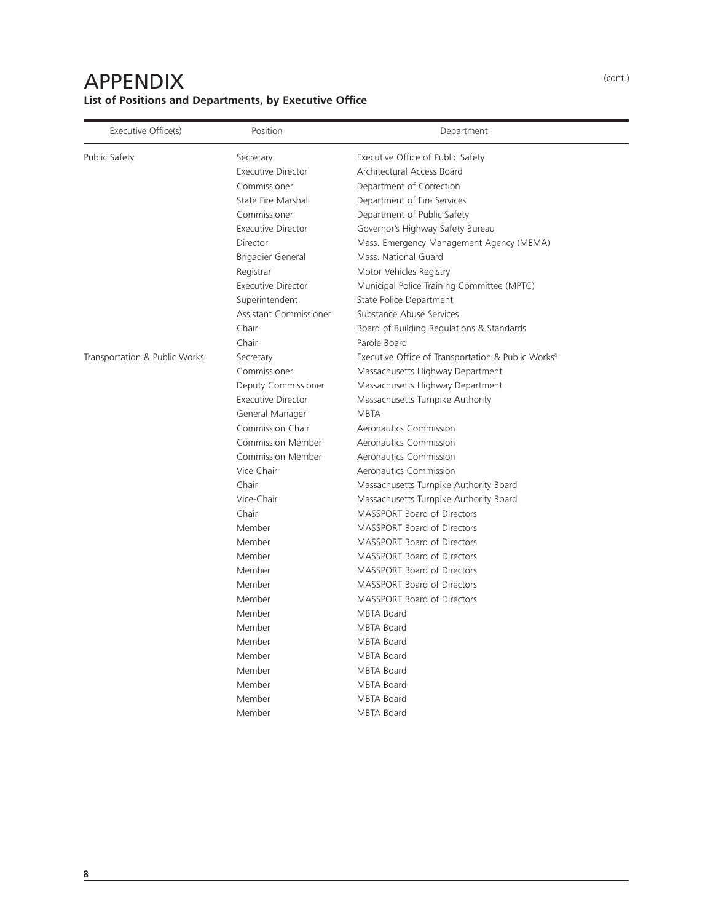## APPENDIX **List of Positions and Departments, by Executive Office**

| Executive Office(s)           | Position                      | Department                                                     |
|-------------------------------|-------------------------------|----------------------------------------------------------------|
| Public Safety                 | Secretary                     | Executive Office of Public Safety                              |
|                               | <b>Executive Director</b>     | Architectural Access Board                                     |
|                               | Commissioner                  | Department of Correction                                       |
|                               | State Fire Marshall           | Department of Fire Services                                    |
|                               | Commissioner                  | Department of Public Safety                                    |
|                               | <b>Executive Director</b>     | Governor's Highway Safety Bureau                               |
|                               | Director                      | Mass. Emergency Management Agency (MEMA)                       |
|                               | Brigadier General             | Mass. National Guard                                           |
|                               | Registrar                     | Motor Vehicles Registry                                        |
|                               | <b>Executive Director</b>     | Municipal Police Training Committee (MPTC)                     |
|                               | Superintendent                | State Police Department                                        |
|                               | <b>Assistant Commissioner</b> | Substance Abuse Services                                       |
|                               | Chair                         | Board of Building Regulations & Standards                      |
|                               | Chair                         | Parole Board                                                   |
| Transportation & Public Works | Secretary                     | Executive Office of Transportation & Public Works <sup>8</sup> |
|                               | Commissioner                  | Massachusetts Highway Department                               |
|                               | Deputy Commissioner           | Massachusetts Highway Department                               |
|                               | <b>Executive Director</b>     | Massachusetts Turnpike Authority                               |
|                               | General Manager               | <b>MBTA</b>                                                    |
|                               | Commission Chair              | Aeronautics Commission                                         |
|                               | <b>Commission Member</b>      | Aeronautics Commission                                         |
|                               | <b>Commission Member</b>      | Aeronautics Commission                                         |
|                               | Vice Chair                    | Aeronautics Commission                                         |
|                               | Chair                         | Massachusetts Turnpike Authority Board                         |
|                               | Vice-Chair                    | Massachusetts Turnpike Authority Board                         |
|                               | Chair                         | <b>MASSPORT Board of Directors</b>                             |
|                               | Member                        | MASSPORT Board of Directors                                    |
|                               | Member                        | <b>MASSPORT Board of Directors</b>                             |
|                               | Member                        | <b>MASSPORT Board of Directors</b>                             |
|                               | Member                        | MASSPORT Board of Directors                                    |
|                               | Member                        | <b>MASSPORT Board of Directors</b>                             |
|                               | Member                        | <b>MASSPORT Board of Directors</b>                             |
|                               | Member                        | <b>MBTA Board</b>                                              |
|                               | Member                        | MBTA Board                                                     |
|                               | Member                        | <b>MBTA Board</b>                                              |
|                               | Member                        | <b>MBTA Board</b>                                              |
|                               | Member                        | <b>MBTA Board</b>                                              |
|                               | Member                        | <b>MBTA Board</b>                                              |
|                               | Member                        | <b>MBTA Board</b>                                              |
|                               |                               |                                                                |

(cont.)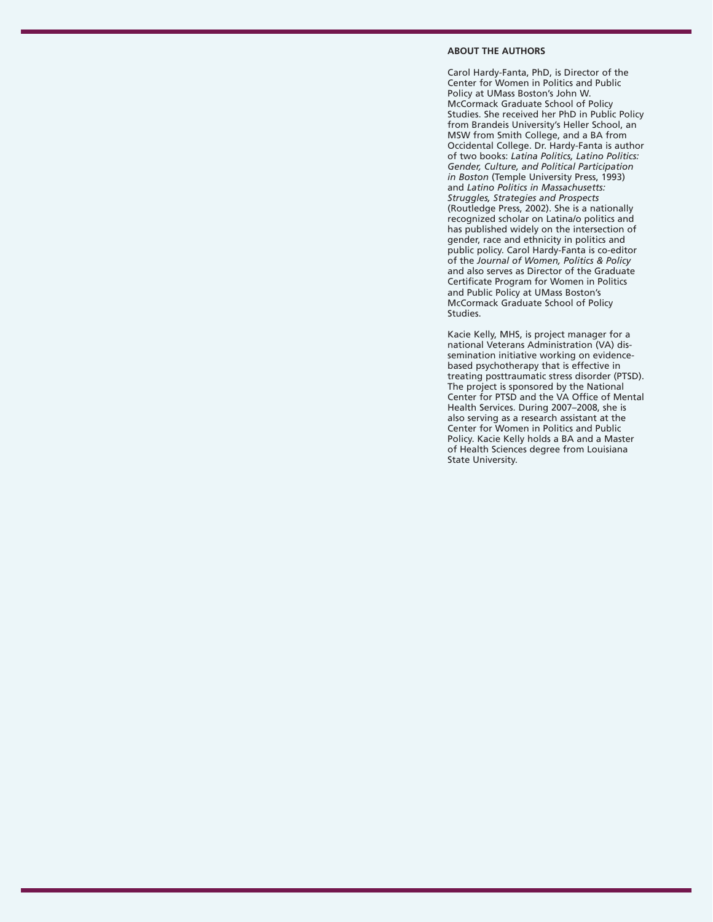#### **ABOUT THE AUTHORS**

Carol Hardy-Fanta, PhD, is Director of the Center for Women in Politics and Public Policy at UMass Boston's John W. McCormack Graduate School of Policy Studies. She received her PhD in Public Policy from Brandeis University's Heller School, an MSW from Smith College, and a BA from Occidental College. Dr. Hardy-Fanta is author of two books: *Latina Politics, Latino Politics: Gender, Culture, and Political Participation in Boston* (Temple University Press, 1993) and *Latino Politics in Massachusetts: Struggles, Strategies and Prospects* (Routledge Press, 2002). She is a nationally recognized scholar on Latina/o politics and has published widely on the intersection of gender, race and ethnicity in politics and public policy. Carol Hardy-Fanta is co-editor of the *Journal of Women, Politics & Policy* and also serves as Director of the Graduate Certificate Program for Women in Politics and Public Policy at UMass Boston's McCormack Graduate School of Policy Studies.

Kacie Kelly, MHS, is project manager for a national Veterans Administration (VA) dissemination initiative working on evidencebased psychotherapy that is effective in treating posttraumatic stress disorder (PTSD). The project is sponsored by the National Center for PTSD and the VA Office of Mental Health Services. During 2007–2008, she is also serving as a research assistant at the Center for Women in Politics and Public Policy. Kacie Kelly holds a BA and a Master of Health Sciences degree from Louisiana State University.